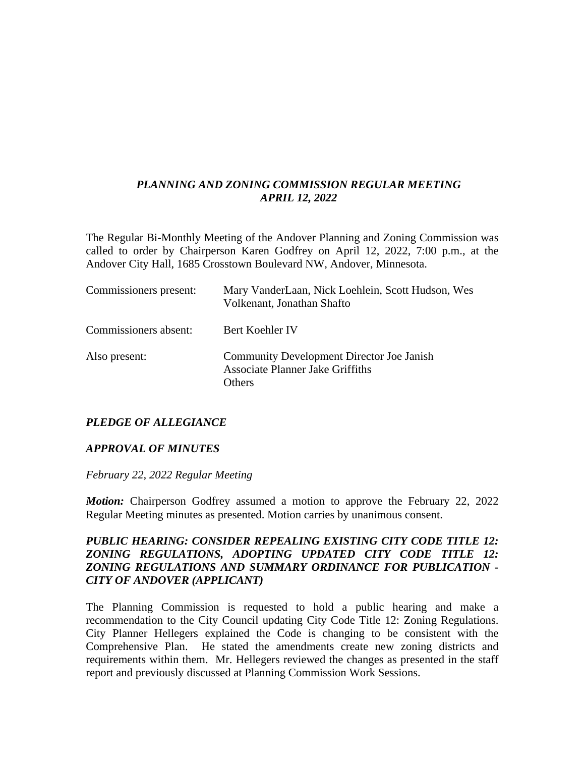### *PLANNING AND ZONING COMMISSION REGULAR MEETING APRIL 12, 2022*

The Regular Bi-Monthly Meeting of the Andover Planning and Zoning Commission was called to order by Chairperson Karen Godfrey on April 12, 2022, 7:00 p.m., at the Andover City Hall, 1685 Crosstown Boulevard NW, Andover, Minnesota.

| Commissioners present: | Mary VanderLaan, Nick Loehlein, Scott Hudson, Wes<br>Volkenant, Jonathan Shafto                       |
|------------------------|-------------------------------------------------------------------------------------------------------|
| Commissioners absent:  | Bert Koehler IV                                                                                       |
| Also present:          | <b>Community Development Director Joe Janish</b><br><b>Associate Planner Jake Griffiths</b><br>Others |

## *PLEDGE OF ALLEGIANCE*

#### *APPROVAL OF MINUTES*

*February 22, 2022 Regular Meeting*

*Motion:* Chairperson Godfrey assumed a motion to approve the February 22, 2022 Regular Meeting minutes as presented. Motion carries by unanimous consent.

#### *PUBLIC HEARING: CONSIDER REPEALING EXISTING CITY CODE TITLE 12: ZONING REGULATIONS, ADOPTING UPDATED CITY CODE TITLE 12: ZONING REGULATIONS AND SUMMARY ORDINANCE FOR PUBLICATION - CITY OF ANDOVER (APPLICANT)*

The Planning Commission is requested to hold a public hearing and make a recommendation to the City Council updating City Code Title 12: Zoning Regulations. City Planner Hellegers explained the Code is changing to be consistent with the Comprehensive Plan. He stated the amendments create new zoning districts and requirements within them. Mr. Hellegers reviewed the changes as presented in the staff report and previously discussed at Planning Commission Work Sessions.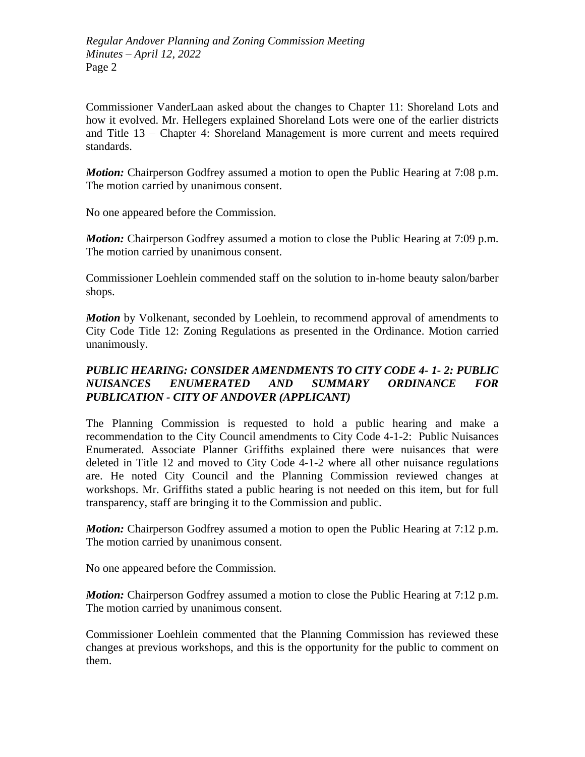Commissioner VanderLaan asked about the changes to Chapter 11: Shoreland Lots and how it evolved. Mr. Hellegers explained Shoreland Lots were one of the earlier districts and Title 13 – Chapter 4: Shoreland Management is more current and meets required standards.

*Motion:* Chairperson Godfrey assumed a motion to open the Public Hearing at 7:08 p.m. The motion carried by unanimous consent.

No one appeared before the Commission.

*Motion:* Chairperson Godfrey assumed a motion to close the Public Hearing at 7:09 p.m. The motion carried by unanimous consent.

Commissioner Loehlein commended staff on the solution to in-home beauty salon/barber shops.

*Motion* by Volkenant, seconded by Loehlein, to recommend approval of amendments to City Code Title 12: Zoning Regulations as presented in the Ordinance. Motion carried unanimously.

# *PUBLIC HEARING: CONSIDER AMENDMENTS TO CITY CODE 4- 1- 2: PUBLIC NUISANCES ENUMERATED AND SUMMARY ORDINANCE FOR PUBLICATION - CITY OF ANDOVER (APPLICANT)*

The Planning Commission is requested to hold a public hearing and make a recommendation to the City Council amendments to City Code 4-1-2: Public Nuisances Enumerated. Associate Planner Griffiths explained there were nuisances that were deleted in Title 12 and moved to City Code 4-1-2 where all other nuisance regulations are. He noted City Council and the Planning Commission reviewed changes at workshops. Mr. Griffiths stated a public hearing is not needed on this item, but for full transparency, staff are bringing it to the Commission and public.

*Motion:* Chairperson Godfrey assumed a motion to open the Public Hearing at 7:12 p.m. The motion carried by unanimous consent.

No one appeared before the Commission.

*Motion:* Chairperson Godfrey assumed a motion to close the Public Hearing at 7:12 p.m. The motion carried by unanimous consent.

Commissioner Loehlein commented that the Planning Commission has reviewed these changes at previous workshops, and this is the opportunity for the public to comment on them.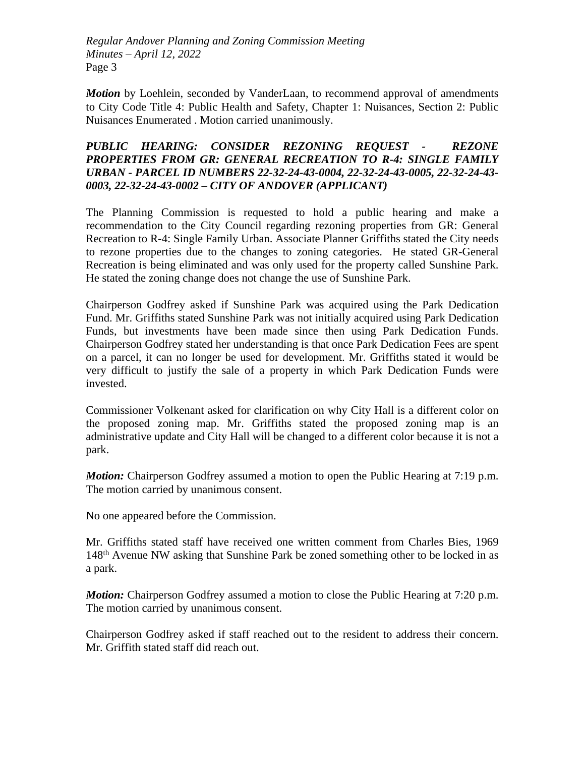*Motion* by Loehlein, seconded by VanderLaan, to recommend approval of amendments to City Code Title 4: Public Health and Safety, Chapter 1: Nuisances, Section 2: Public Nuisances Enumerated . Motion carried unanimously.

## *PUBLIC HEARING: CONSIDER REZONING REQUEST - REZONE PROPERTIES FROM GR: GENERAL RECREATION TO R-4: SINGLE FAMILY URBAN - PARCEL ID NUMBERS 22-32-24-43-0004, 22-32-24-43-0005, 22-32-24-43- 0003, 22-32-24-43-0002 – CITY OF ANDOVER (APPLICANT)*

The Planning Commission is requested to hold a public hearing and make a recommendation to the City Council regarding rezoning properties from GR: General Recreation to R-4: Single Family Urban. Associate Planner Griffiths stated the City needs to rezone properties due to the changes to zoning categories. He stated GR-General Recreation is being eliminated and was only used for the property called Sunshine Park. He stated the zoning change does not change the use of Sunshine Park.

Chairperson Godfrey asked if Sunshine Park was acquired using the Park Dedication Fund. Mr. Griffiths stated Sunshine Park was not initially acquired using Park Dedication Funds, but investments have been made since then using Park Dedication Funds. Chairperson Godfrey stated her understanding is that once Park Dedication Fees are spent on a parcel, it can no longer be used for development. Mr. Griffiths stated it would be very difficult to justify the sale of a property in which Park Dedication Funds were invested.

Commissioner Volkenant asked for clarification on why City Hall is a different color on the proposed zoning map. Mr. Griffiths stated the proposed zoning map is an administrative update and City Hall will be changed to a different color because it is not a park.

*Motion:* Chairperson Godfrey assumed a motion to open the Public Hearing at 7:19 p.m. The motion carried by unanimous consent.

No one appeared before the Commission.

Mr. Griffiths stated staff have received one written comment from Charles Bies, 1969 148th Avenue NW asking that Sunshine Park be zoned something other to be locked in as a park.

*Motion:* Chairperson Godfrey assumed a motion to close the Public Hearing at 7:20 p.m. The motion carried by unanimous consent.

Chairperson Godfrey asked if staff reached out to the resident to address their concern. Mr. Griffith stated staff did reach out.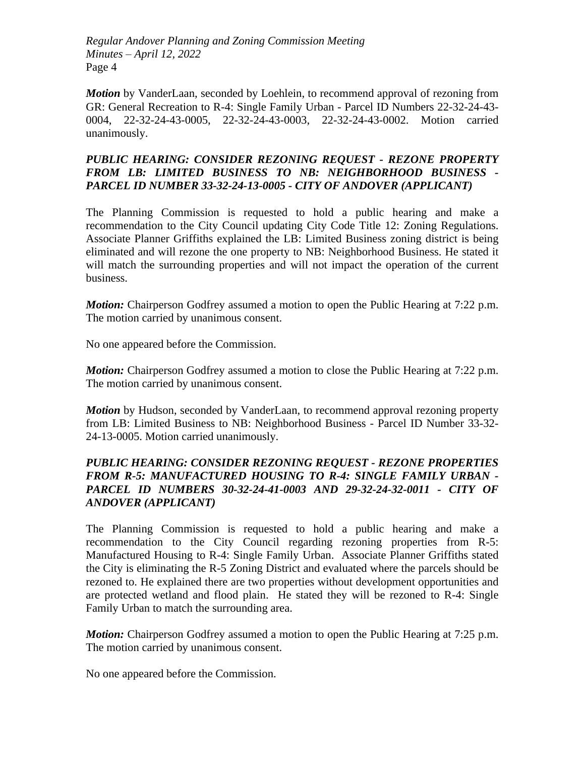*Motion* by VanderLaan, seconded by Loehlein, to recommend approval of rezoning from GR: General Recreation to R-4: Single Family Urban - Parcel ID Numbers 22-32-24-43- 0004, 22-32-24-43-0005, 22-32-24-43-0003, 22-32-24-43-0002. Motion carried unanimously.

## *PUBLIC HEARING: CONSIDER REZONING REQUEST - REZONE PROPERTY FROM LB: LIMITED BUSINESS TO NB: NEIGHBORHOOD BUSINESS - PARCEL ID NUMBER 33-32-24-13-0005 - CITY OF ANDOVER (APPLICANT)*

The Planning Commission is requested to hold a public hearing and make a recommendation to the City Council updating City Code Title 12: Zoning Regulations. Associate Planner Griffiths explained the LB: Limited Business zoning district is being eliminated and will rezone the one property to NB: Neighborhood Business. He stated it will match the surrounding properties and will not impact the operation of the current business.

*Motion:* Chairperson Godfrey assumed a motion to open the Public Hearing at 7:22 p.m. The motion carried by unanimous consent.

No one appeared before the Commission.

*Motion:* Chairperson Godfrey assumed a motion to close the Public Hearing at 7:22 p.m. The motion carried by unanimous consent.

*Motion* by Hudson, seconded by VanderLaan, to recommend approval rezoning property from LB: Limited Business to NB: Neighborhood Business - Parcel ID Number 33-32- 24-13-0005. Motion carried unanimously.

# *PUBLIC HEARING: CONSIDER REZONING REQUEST - REZONE PROPERTIES FROM R-5: MANUFACTURED HOUSING TO R-4: SINGLE FAMILY URBAN - PARCEL ID NUMBERS 30-32-24-41-0003 AND 29-32-24-32-0011 - CITY OF ANDOVER (APPLICANT)*

The Planning Commission is requested to hold a public hearing and make a recommendation to the City Council regarding rezoning properties from R-5: Manufactured Housing to R-4: Single Family Urban. Associate Planner Griffiths stated the City is eliminating the R-5 Zoning District and evaluated where the parcels should be rezoned to. He explained there are two properties without development opportunities and are protected wetland and flood plain. He stated they will be rezoned to R-4: Single Family Urban to match the surrounding area.

*Motion:* Chairperson Godfrey assumed a motion to open the Public Hearing at 7:25 p.m. The motion carried by unanimous consent.

No one appeared before the Commission.